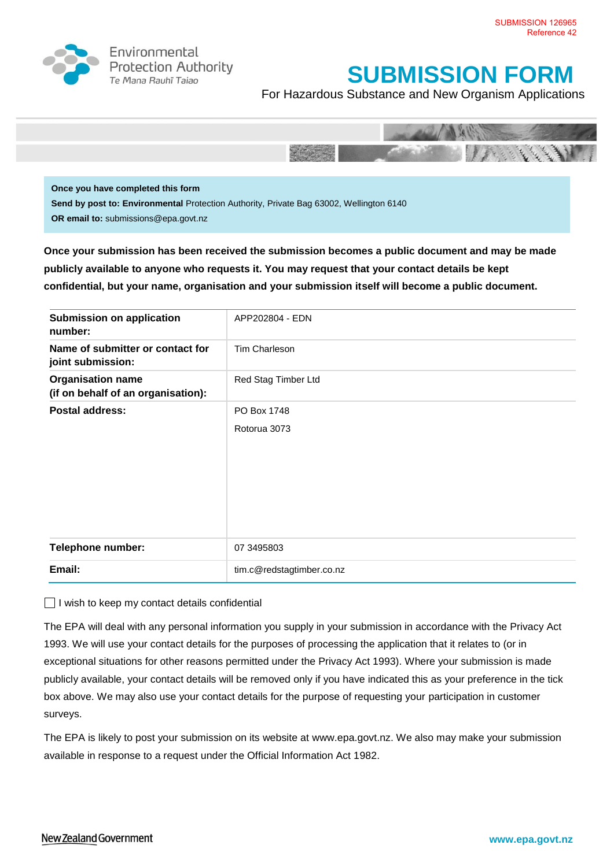

Environmental **Protection Authority** Te Mana Rauhī Tajao

## **SUBMISSION FORM**

For Hazardous Substance and New Organism Applications



**Once you have completed this form Send by post to: Environmental** Protection Authority, Private Bag 63002, Wellington 6140 **OR email to:** submissions@epa.govt.nz

**Once your submission has been received the submission becomes a public document and may be made publicly available to anyone who requests it. You may request that your contact details be kept confidential, but your name, organisation and your submission itself will become a public document.** 

| <b>Submission on application</b><br>number:                    | APP202804 - EDN           |
|----------------------------------------------------------------|---------------------------|
| Name of submitter or contact for<br>joint submission:          | Tim Charleson             |
| <b>Organisation name</b><br>(if on behalf of an organisation): | Red Stag Timber Ltd       |
| <b>Postal address:</b>                                         | PO Box 1748               |
|                                                                | Rotorua 3073              |
| <b>Telephone number:</b>                                       | 07 3495803                |
| Email:                                                         | tim.c@redstagtimber.co.nz |

 $\Box$  I wish to keep my contact details confidential

The EPA will deal with any personal information you supply in your submission in accordance with the Privacy Act 1993. We will use your contact details for the purposes of processing the application that it relates to (or in exceptional situations for other reasons permitted under the Privacy Act 1993). Where your submission is made publicly available, your contact details will be removed only if you have indicated this as your preference in the tick box above. We may also use your contact details for the purpose of requesting your participation in customer surveys.

The EPA is likely to post your submission on its website at [www.epa.govt.nz.](http://www.ermanz.govt.nz/) We also may make your submission available in response to a request under the Official Information Act 1982.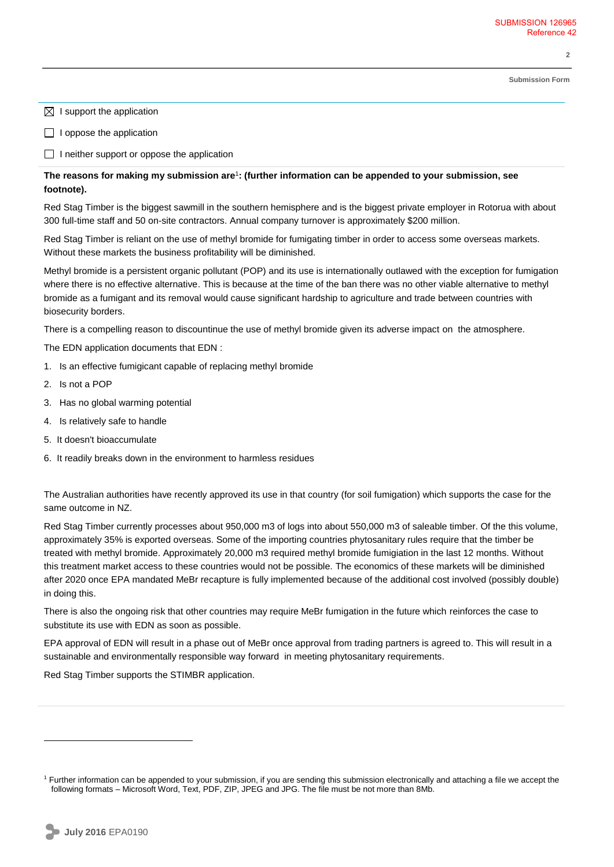**2** 

**Submission Form**

- $\boxtimes$  I support the application
- $\Box$  I oppose the application
- $\Box$  I neither support or oppose the application

## **The reasons for making my submission are**<sup>1</sup> **: (further information can be appended to your submission, see footnote).**

Red Stag Timber is the biggest sawmill in the southern hemisphere and is the biggest private employer in Rotorua with about 300 full-time staff and 50 on-site contractors. Annual company turnover is approximately \$200 million.

Red Stag Timber is reliant on the use of methyl bromide for fumigating timber in order to access some overseas markets. Without these markets the business profitability will be diminished.

Methyl bromide is a persistent organic pollutant (POP) and its use is internationally outlawed with the exception for fumigation where there is no effective alternative. This is because at the time of the ban there was no other viable alternative to methyl bromide as a fumigant and its removal would cause significant hardship to agriculture and trade between countries with biosecurity borders.

There is a compelling reason to discountinue the use of methyl bromide given its adverse impact on the atmosphere.

The EDN application documents that EDN :

- 1. Is an effective fumigicant capable of replacing methyl bromide
- 2. Is not a POP
- 3. Has no global warming potential
- 4. Is relatively safe to handle
- 5. It doesn't bioaccumulate
- 6. It readily breaks down in the environment to harmless residues

The Australian authorities have recently approved its use in that country (for soil fumigation) which supports the case for the same outcome in NZ.

Red Stag Timber currently processes about 950,000 m3 of logs into about 550,000 m3 of saleable timber. Of the this volume, approximately 35% is exported overseas. Some of the importing countries phytosanitary rules require that the timber be treated with methyl bromide. Approximately 20,000 m3 required methyl bromide fumigiation in the last 12 months. Without this treatment market access to these countries would not be possible. The economics of these markets will be diminished after 2020 once EPA mandated MeBr recapture is fully implemented because of the additional cost involved (possibly double) in doing this.

There is also the ongoing risk that other countries may require MeBr fumigation in the future which reinforces the case to substitute its use with EDN as soon as possible.

EPA approval of EDN will result in a phase out of MeBr once approval from trading partners is agreed to. This will result in a sustainable and environmentally responsible way forward in meeting phytosanitary requirements.

Red Stag Timber supports the STIMBR application.

 $\overline{a}$ 

<sup>&</sup>lt;sup>1</sup> Further information can be appended to your submission, if you are sending this submission electronically and attaching a file we accept the following formats – Microsoft Word, Text, PDF, ZIP, JPEG and JPG. The file must be not more than 8Mb.